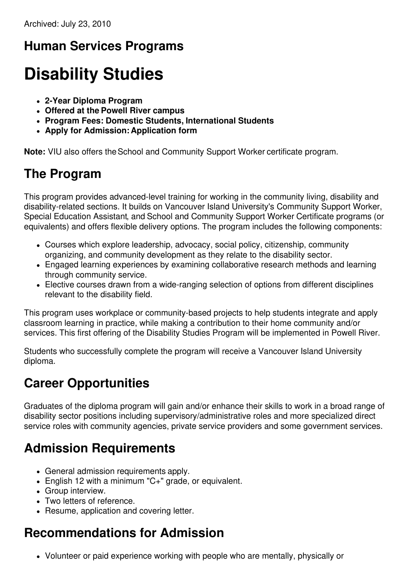## **Human Services Programs**

# **Disability Studies**

- **2-Year Diploma Program**
- **Offered at the Powell River campus**
- **Program Fees: Domestic Students, International Students**
- **Apply for Admission: Application form**

**Note:** VIU also offers the School and Community Support Worker certificate program.

#### **The Program**

This program provides advanced-level training for working in the community living, disability and disability-related sections. It builds on Vancouver Island University's Community Support Worker, Special Education Assistant, and School and Community Support Worker Certificate programs (or equivalents) and offers flexible delivery options. The program includes the following components:

- Courses which explore leadership, advocacy, social policy, citizenship, community organizing, and community development as they relate to the disability sector.
- Engaged learning experiences by examining collaborative research methods and learning through community service.
- Elective courses drawn from a wide-ranging selection of options from different disciplines relevant to the disability field.

This program uses workplace or community-based projects to help students integrate and apply classroom learning in practice, while making a contribution to their home community and/or services. This first offering of the Disability Studies Program will be implemented in Powell River.

Students who successfully complete the program will receive a Vancouver Island University diploma.

## **Career Opportunities**

Graduates of the diploma program will gain and/or enhance their skills to work in a broad range of disability sector positions including supervisory/administrative roles and more specialized direct service roles with community agencies, private service providers and some government services.

## **Admission Requirements**

- General admission requirements apply.
- English 12 with a minimum "C+" grade, or equivalent.
- Group interview.
- Two letters of reference.
- Resume, application and covering letter.

## **Recommendations for Admission**

Volunteer or paid experience working with people who are mentally, physically or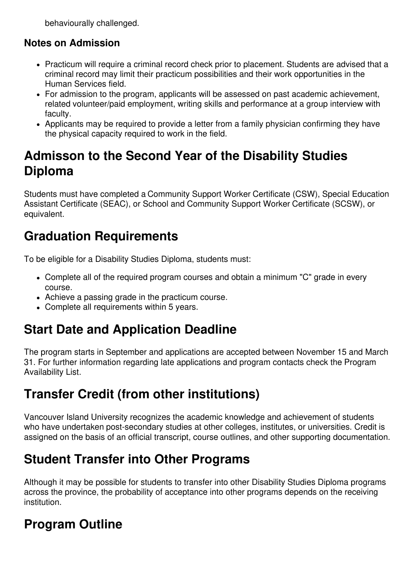behaviourally challenged.

#### **Notes on Admission**

- Practicum will require a criminal record check prior to placement. Students are advised that a criminal record may limit their practicum possibilities and their work opportunities in the Human Services field.
- For admission to the program, applicants will be assessed on past academic achievement, related volunteer/paid employment, writing skills and performance at a group interview with faculty.
- Applicants may be required to provide a letter from a family physician confirming they have the physical capacity required to work in the field.

### **Admisson to the Second Year of the Disability Studies Diploma**

Students must have completed a Community Support Worker Certificate (CSW), Special Education Assistant Certificate (SEAC), or School and Community Support Worker Certificate (SCSW), or equivalent.

#### **Graduation Requirements**

To be eligible for a Disability Studies Diploma, students must:

- Complete all of the required program courses and obtain a minimum "C" grade in every course.
- Achieve a passing grade in the practicum course.
- Complete all requirements within 5 years.

## **Start Date and Application Deadline**

The program starts in September and applications are accepted between November 15 and March 31. For further information regarding late applications and program contacts check the Program Availability List.

## **Transfer Credit (from other institutions)**

Vancouver Island University recognizes the academic knowledge and achievement of students who have undertaken post-secondary studies at other colleges, institutes, or universities. Credit is assigned on the basis of an official transcript, course outlines, and other supporting documentation.

#### **Student Transfer into Other Programs**

Although it may be possible for students to transfer into other Disability Studies Diploma programs across the province, the probability of acceptance into other programs depends on the receiving institution.

## **Program Outline**